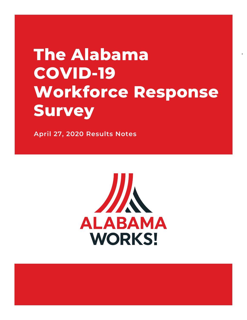## **The Alabama COVID-19 Workforce Response Survey**

**April 27, 2020 Results Notes**

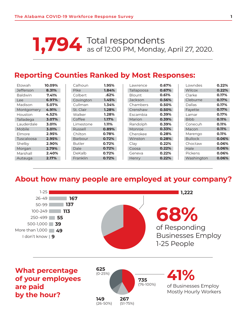# Total respondents **1,794** as of 12:00 PM, Monday, April 27, 2020.

#### **Reporting Counties Ranked by Most Responses:**

| <b>Etowah</b>    | 10.09% | Calhoun       | 1.95%    | Lawrence      | 0.67% | Lowndes        | 0.22% |
|------------------|--------|---------------|----------|---------------|-------|----------------|-------|
| <b>Jefferson</b> | 8.31%  | <b>Pike</b>   | 1.84%    | Tallapoosa    | 0.67% | Wilcox         | 0.22% |
| <b>Baldwin</b>   | 7.41%  | Colbert       | .62%     | <b>Blount</b> | 0.61% | Clarke         | 0.17% |
| Lee              | 6.97%  | Covington     | 1.45%    | Jackson       | 0.56% | Cleburne       | 0.17% |
| Madison          | 5.07%  | Cullman       | 1.34%    | Chambers      | 0.50% | Dallas         | 0.17% |
| Montgomery       | 4.91%  | St. Clair     | 1.28%    | Crenshaw      | 0.50% | Fayette        | 0.17% |
| Houston          | 4.52%  | Walker        | 1.28%    | Escambia      | 0.39% | Lamar          | 0.17% |
| Talladega        | 3.07%  | Coffee        | $1.17\%$ | Marion        | 0.39% | <b>Bibb</b>    | 0.11% |
| Lauderdale       | 3.01%  | Limestone     | 1.11%    | Randolph      | 0.39% | Conecuh        | 0.11% |
| Mobile           | 3.01%  | Russell       | 0.89%    | Monroe        | 0.33% | Macon          | 0.11% |
| Elmore           | 2.95%  | Chilton       | 0.78%    | Cherokee      | 0.28% | Marengo        | 0.11% |
| Tuscaloosa       | 2.95%  | Barbour       | 0.72%    | Winston       | 0.28% | <b>Bullock</b> | 0.06% |
| Shelby           | 2.90%  | <b>Butler</b> | 0.72%    | Clay          | 0.22% | Choctaw        | 0.06% |
| Morgan           | 2.79%  | Dale          | 0.72%    | Coosa         | 0.22% | Hale           | 0.06% |
| Marshall         | 2.40%  | DeKalb        | 0.72%    | Geneva        | 0.22% | Pickens        | 0.06% |
| Autauga          | 2.17%  | Franklin      | 0.72%    | Henry         | 0.22% | Washington     | 0.06% |

#### **About how many people are employed at your company?**



**of your employees are paid by the hour?**



of Businesses Employ Mostly Hourly Workers **41%**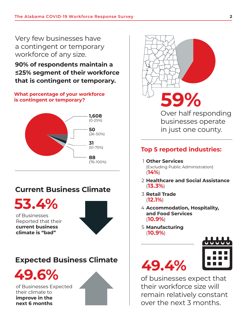Very few businesses have a contingent or temporary workforce of any size.

**90% of respondents maintain a ≤25% segment of their workforce that is contingent or temporary.**

#### **What percentage of your workforce is contingent or temporary?**



#### **Current Business Climate**

**53.4%**

of Businesses Reported that their **current business climate is "bad"**



# **49.6%**<br> **49.6% 49.6%**



of Businesses Expected their climate to **improve in the next 6 months**



Over half responding businesses operate in just one county.

#### **Top 5 reported industries:**

1 **Other Services**

 (Excluding Public Administration) (**14%**)

- 2 **Healthcare and Social Assistance**  (**13.3%**)
- 3 **Retail Trade** (**12.1%**)
- 4 **Accommodation, Hospitality, and Food Services** (**10.9%**)
- 5 **Manufacturing** (**10.9%**)



of businesses expect that their workforce size will remain relatively constant over the next 3 months.